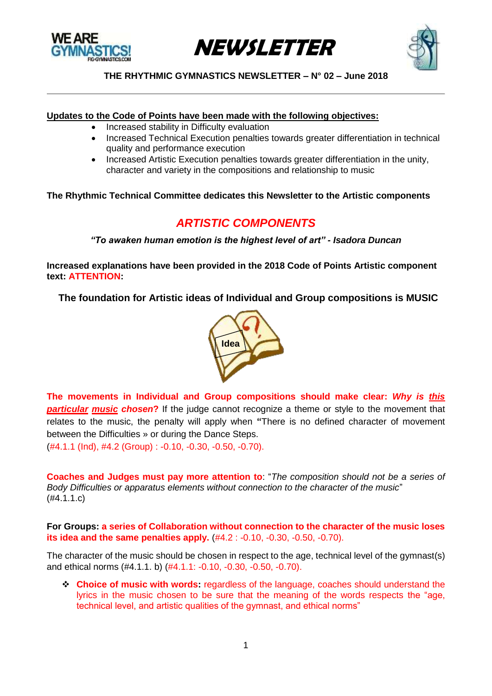





#### **Updates to the Code of Points have been made with the following objectives:**

- Increased stability in Difficulty evaluation
- Increased Technical Execution penalties towards greater differentiation in technical quality and performance execution
- Increased Artistic Execution penalties towards greater differentiation in the unity, character and variety in the compositions and relationship to music

## **The Rhythmic Technical Committee dedicates this Newsletter to the Artistic components**

# *ARTISTIC COMPONENTS*

*"To awaken human emotion is the highest level of art" - Isadora Duncan*

**Increased explanations have been provided in the 2018 Code of Points Artistic component text: ATTENTION:**

**The foundation for Artistic ideas of Individual and Group compositions is MUSIC**



**The movements in Individual and Group compositions should make clear:** *Why is this* **particular music chosen?** If the judge cannot recognize a theme or style to the movement that relates to the music, the penalty will apply when **"**There is no defined character of movement between the Difficulties » or during the Dance Steps.

(#4.1.1 (Ind), #4.2 (Group) : -0.10, -0.30, -0.50, -0.70).

**Coaches and Judges must pay more attention to**: "*The composition should not be a series of Body Difficulties or apparatus elements without connection to the character of the music*" (#4.1.1.c)

**For Groups: a series of Collaboration without connection to the character of the music loses its idea and the same penalties apply.** (#4.2 : -0.10, -0.30, -0.50, -0.70).

The character of the music should be chosen in respect to the age, technical level of the gymnast(s) and ethical norms (#4.1.1. b) (#4.1.1: -0.10, -0.30, -0.50, -0.70).

❖ **Choice of music with words:** regardless of the language, coaches should understand the lyrics in the music chosen to be sure that the meaning of the words respects the "age, technical level, and artistic qualities of the gymnast, and ethical norms"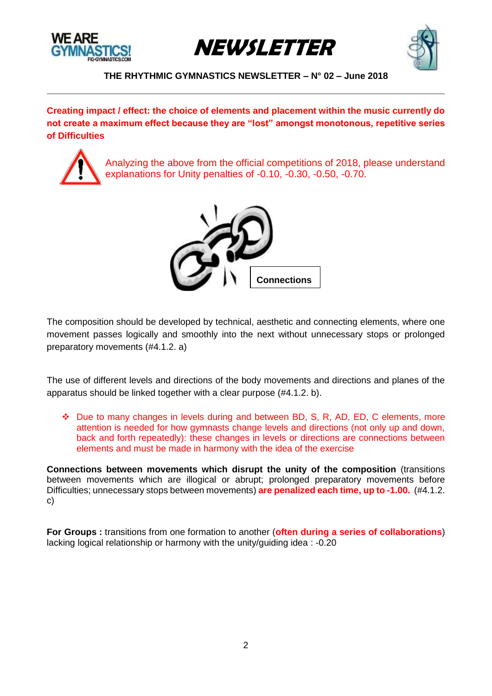





**Creating impact / effect: the choice of elements and placement within the music currently do not create a maximum effect because they are "lost" amongst monotonous, repetitive series of Difficulties**

Analyzing the above from the official competitions of 2018, please understand explanations for Unity penalties of -0.10, -0.30, -0.50, -0.70.



The composition should be dev[eloped by tec](https://creativecommons.org/licenses/by-nc-sa/3.0/)hnical, aesthetic and connecting elements, where one movement passes logically and smoothly into the next without unnecessary stops or prolonged preparatory movements (#4.1.2. a)

The use of different levels and directions of the body movements and directions and planes of the apparatus should be linked together with a clear purpose (#4.1.2. b).

❖ Due to many changes in levels during and between BD, S, R, AD, ED, C elements, more attention is needed for how gymnasts change levels and directions (not only up and down, back and forth repeatedly): these changes in levels or directions are connections between elements and must be made in harmony with the idea of the exercise

**Connections between movements which disrupt the unity of the composition** (transitions between movements which are illogical or abrupt; prolonged preparatory movements before Difficulties; unnecessary stops between movements) **are penalized each time, up to -1.00.** (#4.1.2. c)

**For Groups :** transitions from one formation to another (**often during a series of collaborations**) lacking logical relationship or harmony with the unity/guiding idea : -0.20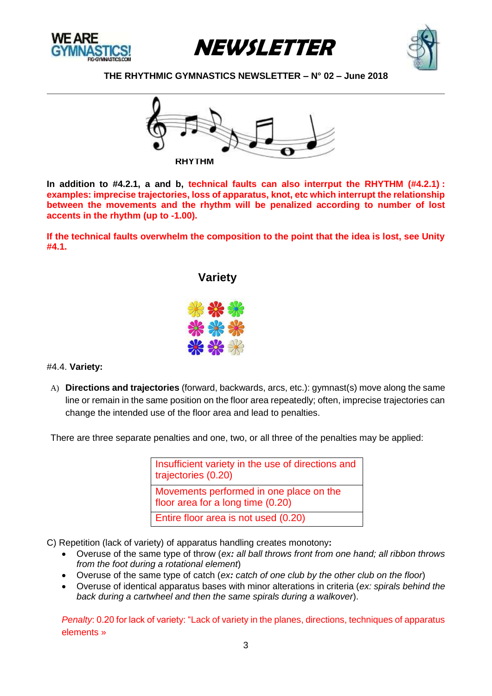







**In addition to #4.2.1, a and b, technical faults can also interrput the RHYTHM (#4.2.1) : examples: imprecise trajectories, loss of apparatus, knot, etc which interrupt the relationship between the movements and the rhythm will be penalized according to number of lost accents in the rhythm (up to -1.00).**

**If the technical faults overwhelm the composition to the point that the idea is lost, see Unity #4.1.** 

## **Variety**



## #4.4. **Variety:**

A) **Directions and trajectories** (forward, backwards, arcs, etc.): gymnast(s) move along the same line or remain in the same position on the floor area repeatedly; often, imprecise trajectories can change the intended use of the floor area and lead to penalties.

There are three separate penalties and one, two, or all three of the penalties may be applied:

Insufficient variety in the use of directions and trajectories (0.20) Movements performed in one place on the floor area for a long time (0.20) Entire floor area is not used (0.20)

- C) Repetition (lack of variety) of apparatus handling creates monotony**:**
	- Overuse of the same type of throw (*ex: all ball throws front from one hand; all ribbon throws from the foot during a rotational element*)
	- Overuse of the same type of catch (*ex: catch of one club by the other club on the floor*)
	- Overuse of identical apparatus bases with minor alterations in criteria (*ex: spirals behind the back during a cartwheel and then the same spirals during a walkover*).

*Penalty*: 0.20 for lack of variety: "Lack of variety in the planes, directions, techniques of apparatus elements »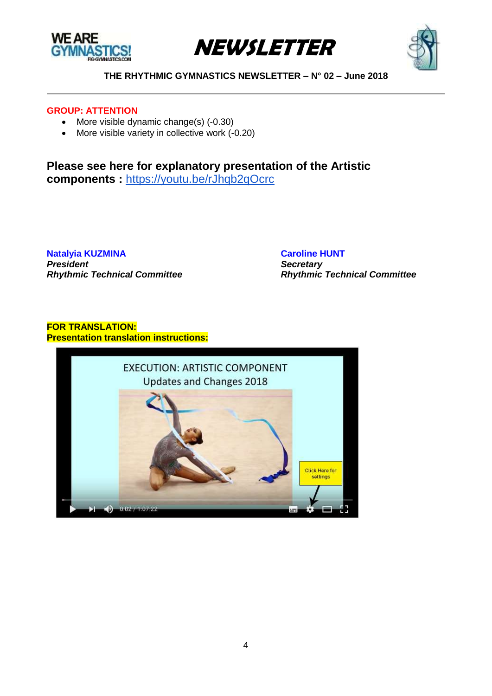





### **GROUP: ATTENTION**

- More visible dynamic change(s) (-0.30)
- More visible variety in collective work (-0.20)

**Please see here for explanatory presentation of the Artistic components :** <https://youtu.be/rJhqb2qOcrc>

**Natalyia KUZMINA [Caroline](mailto:kouzmine@cba.att.ne.jp) HUNT** *President Secretary Rhythmic Technical Committee Rhythmic Technical Committee*

## **FOR TRANSLATION: Presentation translation instructions:**

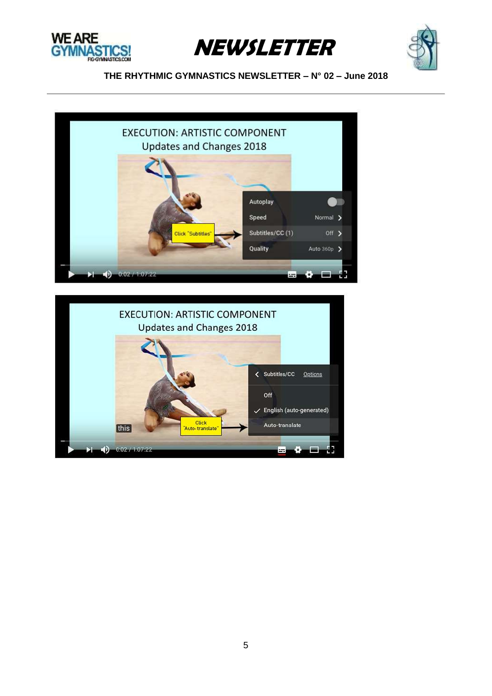